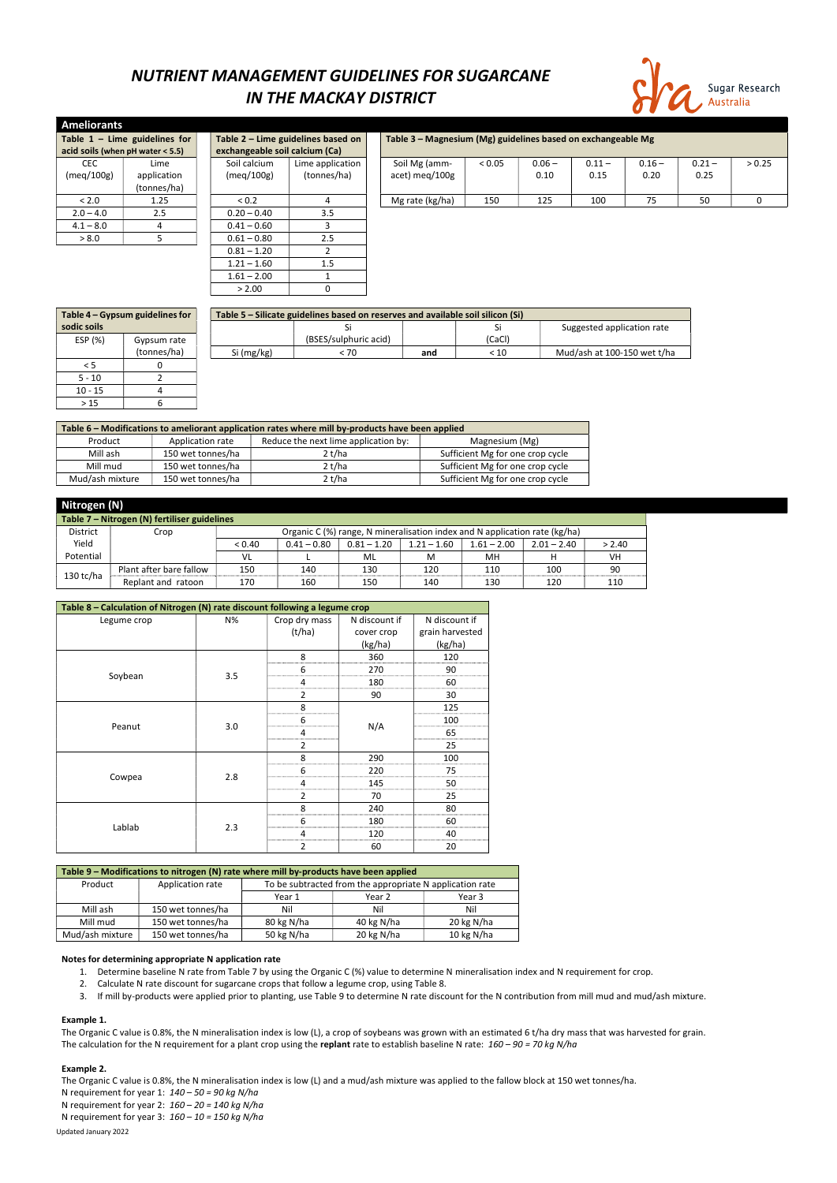# NUTRIENT MANAGEMENT GUIDELINES FOR SUGARCANE IN THE MACKAY DISTRICT



| <b>Ameliorants</b> |                                          |  |                                |                                    |  |                                                              |        |          |          |          |          |        |
|--------------------|------------------------------------------|--|--------------------------------|------------------------------------|--|--------------------------------------------------------------|--------|----------|----------|----------|----------|--------|
|                    | Table $1 -$ Lime guidelines for          |  |                                | Table 2 - Lime guidelines based on |  | Table 3 - Magnesium (Mg) guidelines based on exchangeable Mg |        |          |          |          |          |        |
|                    | acid soils (when $pH$ water $\leq 5.5$ ) |  | exchangeable soil calcium (Ca) |                                    |  |                                                              |        |          |          |          |          |        |
| <b>CEC</b>         | Lime                                     |  | Soil calcium                   | Lime application                   |  | Soil Mg (amm-                                                | < 0.05 | $0.06 -$ | $0.11 -$ | $0.16 -$ | $0.21 -$ | > 0.25 |
| (meq/100g)         | application                              |  | (meq/100g)                     | (tonnes/ha)                        |  | acet) meg/100g                                               |        | 0.10     | 0.15     | 0.20     | 0.25     |        |
|                    | (tonnes/ha)                              |  |                                |                                    |  |                                                              |        |          |          |          |          |        |
| < 2.0              | 1.25                                     |  | < 0.2                          | 4                                  |  | Mg rate (kg/ha)                                              | 150    | 125      | 100      | 75       | 50       | 0      |
| $2.0 - 4.0$        | 2.5                                      |  | $0.20 - 0.40$                  | 3.5                                |  |                                                              |        |          |          |          |          |        |
| $4.1 - 8.0$        |                                          |  | $0.41 - 0.60$                  |                                    |  |                                                              |        |          |          |          |          |        |
| > 8.0              |                                          |  | $0.61 - 0.80$                  | 2.5                                |  |                                                              |        |          |          |          |          |        |
|                    |                                          |  | $0.81 - 1.20$                  |                                    |  |                                                              |        |          |          |          |          |        |
|                    |                                          |  | $1.21 - 1.60$                  | 1.5                                |  |                                                              |        |          |          |          |          |        |
|                    |                                          |  | $1.61 - 2.00$                  |                                    |  |                                                              |        |          |          |          |          |        |

| Table 4 – Gypsum guidelines for |             |            | Table 5 - Silicate guidelines based on reserves and available soil silicon (Si) |     |        |                             |  |  |  |  |
|---------------------------------|-------------|------------|---------------------------------------------------------------------------------|-----|--------|-----------------------------|--|--|--|--|
| sodic soils                     |             |            |                                                                                 |     |        | Suggested application rate  |  |  |  |  |
| ESP (%)                         | Gypsum rate |            | (BSES/sulphuric acid)                                                           |     | (CaCl) |                             |  |  |  |  |
|                                 | (tonnes/ha) | Si (mg/kg) | < 70                                                                            | and | < 10   | Mud/ash at 100-150 wet t/ha |  |  |  |  |
|                                 |             |            |                                                                                 |     |        |                             |  |  |  |  |
| $5 - 10$                        |             |            |                                                                                 |     |        |                             |  |  |  |  |
| $10 - 15$                       |             |            |                                                                                 |     |        |                             |  |  |  |  |
| >15                             |             |            |                                                                                 |     |        |                             |  |  |  |  |

| Table 6 - Modifications to ameliorant application rates where mill by-products have been applied |                   |        |                                  |  |  |  |  |  |  |
|--------------------------------------------------------------------------------------------------|-------------------|--------|----------------------------------|--|--|--|--|--|--|
| Reduce the next lime application by:<br>Application rate<br>Magnesium (Mg)<br>Product            |                   |        |                                  |  |  |  |  |  |  |
| Mill ash                                                                                         | 150 wet tonnes/ha | 2 t/ha | Sufficient Mg for one crop cycle |  |  |  |  |  |  |
| Mill mud                                                                                         | 150 wet tonnes/ha | 2 t/ha | Sufficient Mg for one crop cycle |  |  |  |  |  |  |
| Mud/ash mixture                                                                                  | 150 wet tonnes/ha | 2 t/ha | Sufficient Mg for one crop cycle |  |  |  |  |  |  |

 $> 2.00$  0

The Organic C value is 0.8%, the N mineralisation index is low (L), a crop of soybeans was grown with an estimated 6 t/ha dry mass that was harvested for grain. The calculation for the N requirement for a plant crop using the replant rate to establish baseline N rate:  $160 - 90 = 70$  kg N/ha

|                                              | Nitrogen (N)            |        |               |                                                                            |               |               |               |        |  |  |  |  |
|----------------------------------------------|-------------------------|--------|---------------|----------------------------------------------------------------------------|---------------|---------------|---------------|--------|--|--|--|--|
| Table 7 - Nitrogen (N) fertiliser guidelines |                         |        |               |                                                                            |               |               |               |        |  |  |  |  |
| <b>District</b>                              | Crop                    |        |               | Organic C (%) range, N mineralisation index and N application rate (kg/ha) |               |               |               |        |  |  |  |  |
| Yield                                        |                         | < 0.40 | $0.41 - 0.80$ | $0.81 - 1.20$                                                              | $1.21 - 1.60$ | $1.61 - 2.00$ | $2.01 - 2.40$ | > 2.40 |  |  |  |  |
| Potential                                    |                         | VL     |               | ML                                                                         | M             | мн            |               | VH     |  |  |  |  |
|                                              | Plant after bare fallow | 150    | 140           | 130                                                                        | 120           | 110           | 100           | 90     |  |  |  |  |
| $130$ tc/ha                                  | Replant and ratoon      | 170    | 160           | 150                                                                        | 140           | 130           | 120           | 110    |  |  |  |  |

| Table 8 - Calculation of Nitrogen (N) rate discount following a legume crop |     |                |               |                 |  |  |  |  |  |
|-----------------------------------------------------------------------------|-----|----------------|---------------|-----------------|--|--|--|--|--|
| Legume crop                                                                 | N%  | Crop dry mass  | N discount if | N discount if   |  |  |  |  |  |
|                                                                             |     | (t/ha)         | cover crop    | grain harvested |  |  |  |  |  |
|                                                                             |     |                | (kg/ha)       | (kg/ha)         |  |  |  |  |  |
|                                                                             |     | 8              | 360           | 120             |  |  |  |  |  |
|                                                                             |     | 6              | 270           | 90              |  |  |  |  |  |
| Soybean                                                                     | 3.5 | 4              | 180           | 60              |  |  |  |  |  |
|                                                                             |     | $\overline{2}$ | 90            | 30              |  |  |  |  |  |
|                                                                             |     | 8              |               | 125             |  |  |  |  |  |
|                                                                             |     | 6              |               | 100             |  |  |  |  |  |
| Peanut                                                                      | 3.0 | 4              | N/A           | 65              |  |  |  |  |  |
|                                                                             |     | $\overline{2}$ |               | 25              |  |  |  |  |  |
|                                                                             |     | 8              | 290           | 100             |  |  |  |  |  |
|                                                                             | 2.8 | 6              | 220           | 75              |  |  |  |  |  |
| Cowpea                                                                      |     | 4              | 145           | 50              |  |  |  |  |  |
|                                                                             |     | $\overline{2}$ | 70            | 25              |  |  |  |  |  |
|                                                                             |     | 8              | 240           | 80              |  |  |  |  |  |
|                                                                             |     | 6              | 180           | 60              |  |  |  |  |  |
| Lablab                                                                      | 2.3 | $\overline{4}$ | 120           | 40              |  |  |  |  |  |
|                                                                             |     | $\overline{2}$ | 60            | 20              |  |  |  |  |  |

| Table 9 – Modifications to nitrogen (N) rate where mill by-products have been applied |                  |                                                          |  |  |  |  |  |
|---------------------------------------------------------------------------------------|------------------|----------------------------------------------------------|--|--|--|--|--|
| Product                                                                               | Application rate | To be subtracted from the appropriate N application rate |  |  |  |  |  |

|                 |                   | Year 1     | Year 2     | Year 3       |
|-----------------|-------------------|------------|------------|--------------|
| Mill ash        | 150 wet tonnes/ha | Nil        | Nil        | Nil          |
| Mill mud        | 150 wet tonnes/ha | 80 kg N/ha | 40 kg N/ha | 20 kg N/ha   |
| Mud/ash mixture | 150 wet tonnes/ha | 50 kg N/ha | 20 kg N/ha | 10 kg $N/ha$ |

### Notes for determining appropriate N application rate

- 1. Determine baseline N rate from Table 7 by using the Organic C (%) value to determine N mineralisation index and N requirement for crop.
- 2. Calculate N rate discount for sugarcane crops that follow a legume crop, using Table 8.
- 3. If mill by-products were applied prior to planting, use Table 9 to determine N rate discount for the N contribution from mill mud and mud/ash mixture.

### Example 1.

#### Example 2.

Updated January 2022 The Organic C value is 0.8%, the N mineralisation index is low (L) and a mud/ash mixture was applied to the fallow block at 150 wet tonnes/ha. N requirement for year 1:  $140 - 50 = 90$  kg N/ha N requirement for year 2:  $160 - 20 = 140$  kg N/ha N requirement for year 3:  $160 - 10 = 150$  kg N/ha